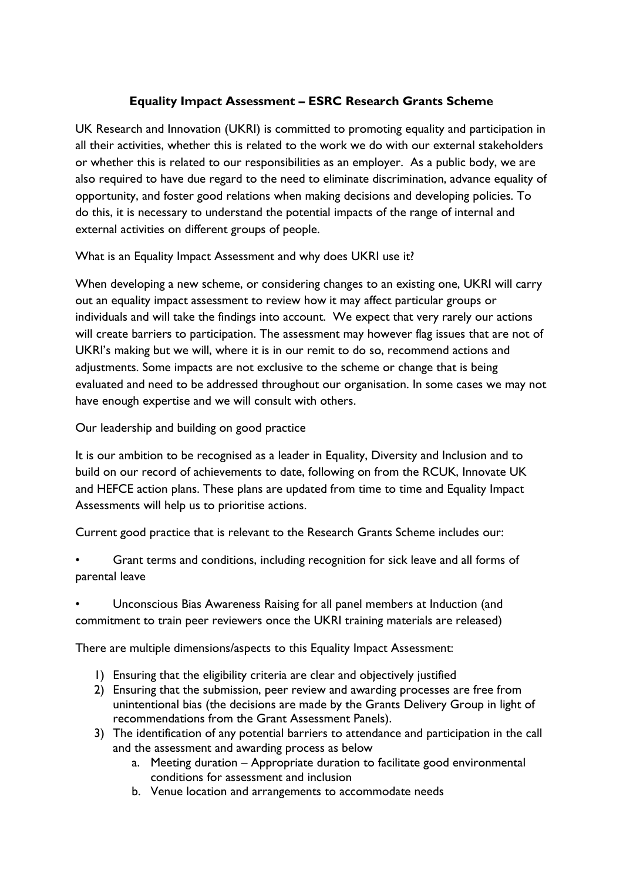# **Equality Impact Assessment – ESRC Research Grants Scheme**

UK Research and Innovation (UKRI) is committed to promoting equality and participation in all their activities, whether this is related to the work we do with our external stakeholders or whether this is related to our responsibilities as an employer. As a public body, we are also required to have due regard to the need to eliminate discrimination, advance equality of opportunity, and foster good relations when making decisions and developing policies. To do this, it is necessary to understand the potential impacts of the range of internal and external activities on different groups of people.

What is an Equality Impact Assessment and why does UKRI use it?

When developing a new scheme, or considering changes to an existing one, UKRI will carry out an equality impact assessment to review how it may affect particular groups or individuals and will take the findings into account. We expect that very rarely our actions will create barriers to participation. The assessment may however flag issues that are not of UKRI's making but we will, where it is in our remit to do so, recommend actions and adjustments. Some impacts are not exclusive to the scheme or change that is being evaluated and need to be addressed throughout our organisation. In some cases we may not have enough expertise and we will consult with others.

Our leadership and building on good practice

It is our ambition to be recognised as a leader in Equality, Diversity and Inclusion and to build on our record of achievements to date, following on from the RCUK, Innovate UK and HEFCE action plans. These plans are updated from time to time and Equality Impact Assessments will help us to prioritise actions.

Current good practice that is relevant to the Research Grants Scheme includes our:

• Grant terms and conditions, including recognition for sick leave and all forms of parental leave

• Unconscious Bias Awareness Raising for all panel members at Induction (and commitment to train peer reviewers once the UKRI training materials are released)

There are multiple dimensions/aspects to this Equality Impact Assessment:

- 1) Ensuring that the eligibility criteria are clear and objectively justified
- 2) Ensuring that the submission, peer review and awarding processes are free from unintentional bias (the decisions are made by the Grants Delivery Group in light of recommendations from the Grant Assessment Panels).
- 3) The identification of any potential barriers to attendance and participation in the call and the assessment and awarding process as below
	- a. Meeting duration Appropriate duration to facilitate good environmental conditions for assessment and inclusion
	- b. Venue location and arrangements to accommodate needs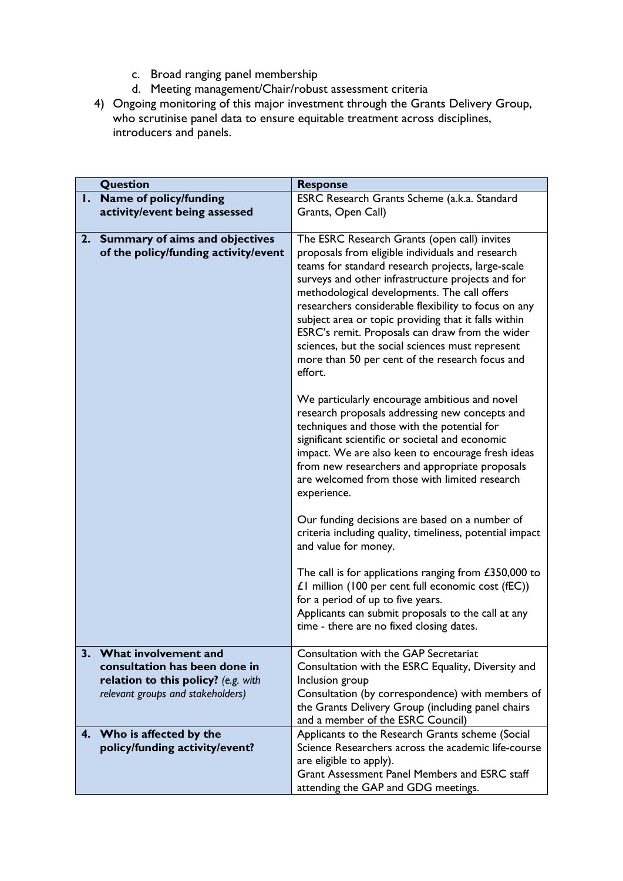- c. Broad ranging panel membership
- d. Meeting management/Chair/robust assessment criteria
- 4) Ongoing monitoring of this major investment through the Grants Delivery Group, who scrutinise panel data to ensure equitable treatment across disciplines, introducers and panels.

|              | <b>Question</b>                                                                                                                   | <b>Response</b>                                                                                                                                                                                                                                                                                                                                                                                                                                                                                 |
|--------------|-----------------------------------------------------------------------------------------------------------------------------------|-------------------------------------------------------------------------------------------------------------------------------------------------------------------------------------------------------------------------------------------------------------------------------------------------------------------------------------------------------------------------------------------------------------------------------------------------------------------------------------------------|
| $\mathbf{L}$ | Name of policy/funding                                                                                                            | ESRC Research Grants Scheme (a.k.a. Standard                                                                                                                                                                                                                                                                                                                                                                                                                                                    |
|              | activity/event being assessed                                                                                                     | Grants, Open Call)                                                                                                                                                                                                                                                                                                                                                                                                                                                                              |
|              |                                                                                                                                   |                                                                                                                                                                                                                                                                                                                                                                                                                                                                                                 |
|              | 2. Summary of aims and objectives                                                                                                 | The ESRC Research Grants (open call) invites                                                                                                                                                                                                                                                                                                                                                                                                                                                    |
|              | of the policy/funding activity/event                                                                                              | proposals from eligible individuals and research<br>teams for standard research projects, large-scale<br>surveys and other infrastructure projects and for<br>methodological developments. The call offers<br>researchers considerable flexibility to focus on any<br>subject area or topic providing that it falls within<br>ESRC's remit. Proposals can draw from the wider<br>sciences, but the social sciences must represent<br>more than 50 per cent of the research focus and<br>effort. |
|              |                                                                                                                                   | We particularly encourage ambitious and novel<br>research proposals addressing new concepts and<br>techniques and those with the potential for<br>significant scientific or societal and economic<br>impact. We are also keen to encourage fresh ideas<br>from new researchers and appropriate proposals<br>are welcomed from those with limited research<br>experience.                                                                                                                        |
|              |                                                                                                                                   | Our funding decisions are based on a number of<br>criteria including quality, timeliness, potential impact<br>and value for money.                                                                                                                                                                                                                                                                                                                                                              |
|              |                                                                                                                                   | The call is for applications ranging from $£350,000$ to<br>$£1$ million (100 per cent full economic cost (fEC))<br>for a period of up to five years.<br>Applicants can submit proposals to the call at any<br>time - there are no fixed closing dates.                                                                                                                                                                                                                                          |
| 3.           | What involvement and<br>consultation has been done in<br>relation to this policy? (e.g. with<br>relevant groups and stakeholders) | Consultation with the GAP Secretariat<br>Consultation with the ESRC Equality, Diversity and<br>Inclusion group<br>Consultation (by correspondence) with members of<br>the Grants Delivery Group (including panel chairs<br>and a member of the ESRC Council)                                                                                                                                                                                                                                    |
| 4.           | Who is affected by the<br>policy/funding activity/event?                                                                          | Applicants to the Research Grants scheme (Social<br>Science Researchers across the academic life-course<br>are eligible to apply).<br>Grant Assessment Panel Members and ESRC staff<br>attending the GAP and GDG meetings.                                                                                                                                                                                                                                                                      |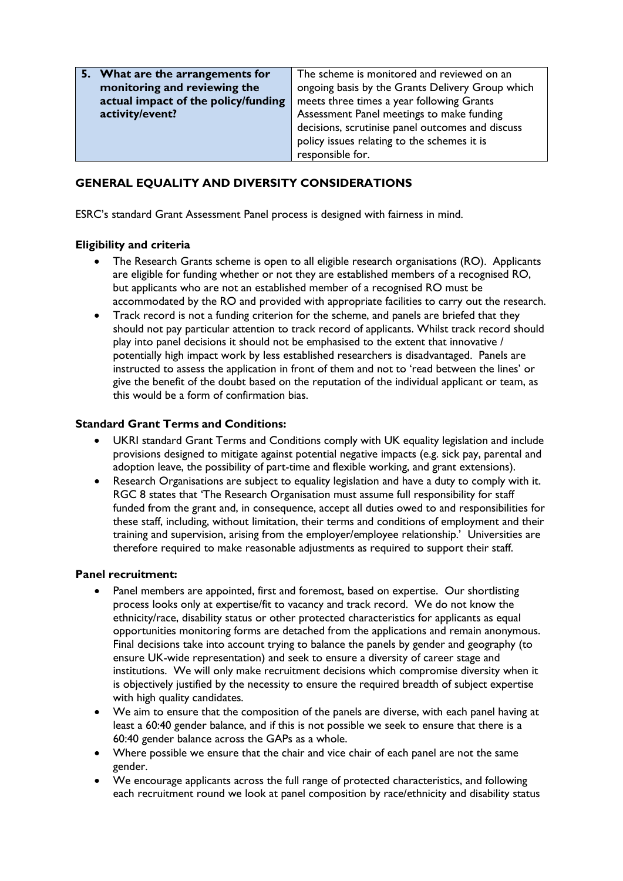| 5. What are the arrangements for    | The scheme is monitored and reviewed on an       |
|-------------------------------------|--------------------------------------------------|
| monitoring and reviewing the        | ongoing basis by the Grants Delivery Group which |
| actual impact of the policy/funding | meets three times a year following Grants        |
| activity/event?                     | Assessment Panel meetings to make funding        |
|                                     | decisions, scrutinise panel outcomes and discuss |
|                                     | policy issues relating to the schemes it is      |
|                                     | responsible for.                                 |

# **GENERAL EQUALITY AND DIVERSITY CONSIDERATIONS**

ESRC's standard Grant Assessment Panel process is designed with fairness in mind.

### **Eligibility and criteria**

- The Research Grants scheme is open to all eligible research organisations (RO). Applicants are eligible for funding whether or not they are established members of a recognised RO, but applicants who are not an established member of a recognised RO must be accommodated by the RO and provided with appropriate facilities to carry out the research.
- Track record is not a funding criterion for the scheme, and panels are briefed that they should not pay particular attention to track record of applicants. Whilst track record should play into panel decisions it should not be emphasised to the extent that innovative / potentially high impact work by less established researchers is disadvantaged. Panels are instructed to assess the application in front of them and not to 'read between the lines' or give the benefit of the doubt based on the reputation of the individual applicant or team, as this would be a form of confirmation bias.

#### **Standard Grant Terms and Conditions:**

- UKRI standard Grant Terms and Conditions comply with UK equality legislation and include provisions designed to mitigate against potential negative impacts (e.g. sick pay, parental and adoption leave, the possibility of part-time and flexible working, and grant extensions).
- Research Organisations are subject to equality legislation and have a duty to comply with it. RGC 8 states that 'The Research Organisation must assume full responsibility for staff funded from the grant and, in consequence, accept all duties owed to and responsibilities for these staff, including, without limitation, their terms and conditions of employment and their training and supervision, arising from the employer/employee relationship.' Universities are therefore required to make reasonable adjustments as required to support their staff.

#### **Panel recruitment:**

- Panel members are appointed, first and foremost, based on expertise. Our shortlisting process looks only at expertise/fit to vacancy and track record. We do not know the ethnicity/race, disability status or other protected characteristics for applicants as equal opportunities monitoring forms are detached from the applications and remain anonymous. Final decisions take into account trying to balance the panels by gender and geography (to ensure UK-wide representation) and seek to ensure a diversity of career stage and institutions. We will only make recruitment decisions which compromise diversity when it is objectively justified by the necessity to ensure the required breadth of subject expertise with high quality candidates.
- We aim to ensure that the composition of the panels are diverse, with each panel having at least a 60:40 gender balance, and if this is not possible we seek to ensure that there is a 60:40 gender balance across the GAPs as a whole.
- Where possible we ensure that the chair and vice chair of each panel are not the same gender.
- We encourage applicants across the full range of protected characteristics, and following each recruitment round we look at panel composition by race/ethnicity and disability status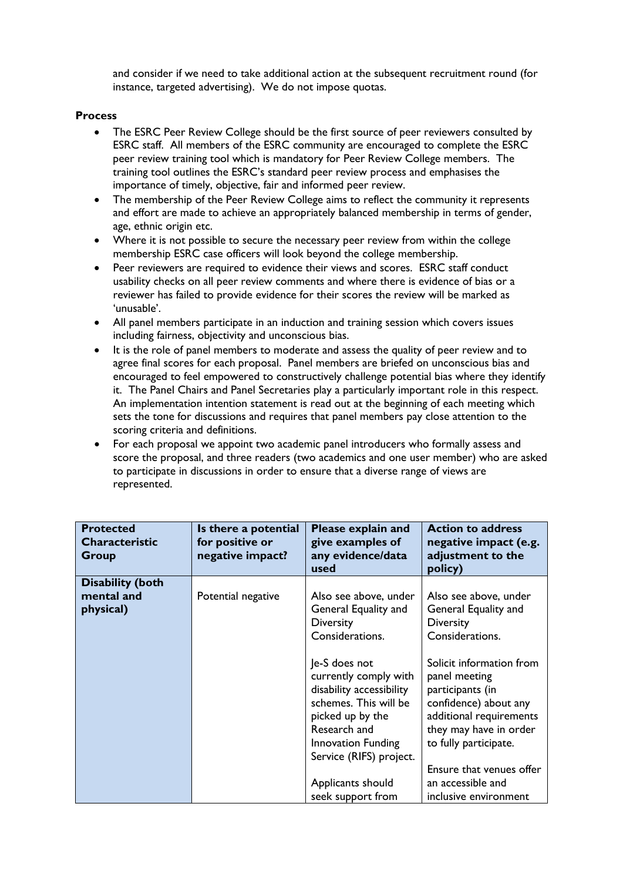and consider if we need to take additional action at the subsequent recruitment round (for instance, targeted advertising). We do not impose quotas.

#### **Process**

- The ESRC Peer Review College should be the first source of peer reviewers consulted by ESRC staff. All members of the ESRC community are encouraged to complete the ESRC peer review training tool which is mandatory for Peer Review College members. The training tool outlines the ESRC's standard peer review process and emphasises the importance of timely, objective, fair and informed peer review.
- The membership of the Peer Review College aims to reflect the community it represents and effort are made to achieve an appropriately balanced membership in terms of gender, age, ethnic origin etc.
- Where it is not possible to secure the necessary peer review from within the college membership ESRC case officers will look beyond the college membership.
- Peer reviewers are required to evidence their views and scores. ESRC staff conduct usability checks on all peer review comments and where there is evidence of bias or a reviewer has failed to provide evidence for their scores the review will be marked as 'unusable'.
- All panel members participate in an induction and training session which covers issues including fairness, objectivity and unconscious bias.
- It is the role of panel members to moderate and assess the quality of peer review and to agree final scores for each proposal. Panel members are briefed on unconscious bias and encouraged to feel empowered to constructively challenge potential bias where they identify it. The Panel Chairs and Panel Secretaries play a particularly important role in this respect. An implementation intention statement is read out at the beginning of each meeting which sets the tone for discussions and requires that panel members pay close attention to the scoring criteria and definitions.
- For each proposal we appoint two academic panel introducers who formally assess and score the proposal, and three readers (two academics and one user member) who are asked to participate in discussions in order to ensure that a diverse range of views are represented.

| <b>Protected</b><br><b>Characteristic</b><br>Group | Is there a potential<br>for positive or<br>negative impact? | Please explain and<br>give examples of<br>any evidence/data<br>used                                                                                                                                                        | <b>Action to address</b><br>negative impact (e.g.<br>adjustment to the<br>policy)                                                                                                                                                              |
|----------------------------------------------------|-------------------------------------------------------------|----------------------------------------------------------------------------------------------------------------------------------------------------------------------------------------------------------------------------|------------------------------------------------------------------------------------------------------------------------------------------------------------------------------------------------------------------------------------------------|
| <b>Disability (both</b><br>mental and<br>physical) | Potential negative                                          | Also see above, under<br>General Equality and<br><b>Diversity</b><br>Considerations.                                                                                                                                       | Also see above, under<br>General Equality and<br><b>Diversity</b><br>Considerations.                                                                                                                                                           |
|                                                    |                                                             | Je-S does not<br>currently comply with<br>disability accessibility<br>schemes. This will be<br>picked up by the<br>Research and<br>Innovation Funding<br>Service (RIFS) project.<br>Applicants should<br>seek support from | Solicit information from<br>panel meeting<br>participants (in<br>confidence) about any<br>additional requirements<br>they may have in order<br>to fully participate.<br>Ensure that venues offer<br>an accessible and<br>inclusive environment |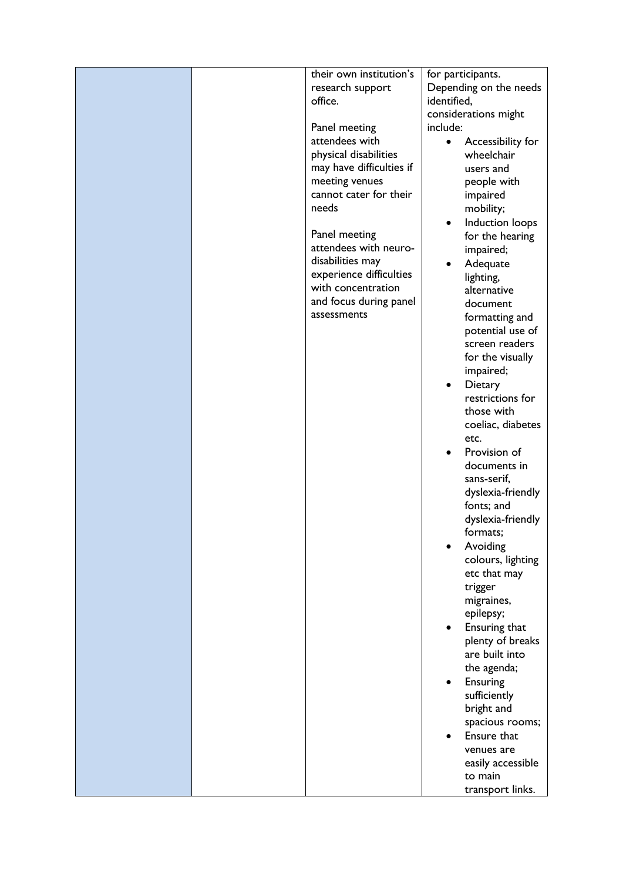|  | their own institution's  | for participants.            |
|--|--------------------------|------------------------------|
|  | research support         | Depending on the needs       |
|  | office.                  | identified,                  |
|  |                          | considerations might         |
|  | Panel meeting            | include:                     |
|  | attendees with           | Accessibility for            |
|  | physical disabilities    | wheelchair                   |
|  | may have difficulties if | users and                    |
|  | meeting venues           | people with                  |
|  | cannot cater for their   | impaired                     |
|  | needs                    | mobility;                    |
|  |                          | Induction loops<br>$\bullet$ |
|  | Panel meeting            |                              |
|  | attendees with neuro-    | for the hearing              |
|  | disabilities may         | impaired;                    |
|  | experience difficulties  | Adequate                     |
|  | with concentration       | lighting,                    |
|  |                          | alternative                  |
|  | and focus during panel   | document                     |
|  | assessments              | formatting and               |
|  |                          | potential use of             |
|  |                          | screen readers               |
|  |                          | for the visually             |
|  |                          | impaired;                    |
|  |                          | Dietary<br>٠                 |
|  |                          | restrictions for             |
|  |                          | those with                   |
|  |                          | coeliac, diabetes            |
|  |                          | etc.                         |
|  |                          | Provision of                 |
|  |                          | documents in                 |
|  |                          | sans-serif,                  |
|  |                          | dyslexia-friendly            |
|  |                          | fonts; and                   |
|  |                          | dyslexia-friendly            |
|  |                          | formats;                     |
|  |                          | Avoiding                     |
|  |                          | colours, lighting            |
|  |                          | etc that may                 |
|  |                          | trigger                      |
|  |                          | migraines,                   |
|  |                          | epilepsy;                    |
|  |                          | Ensuring that                |
|  |                          | plenty of breaks             |
|  |                          | are built into               |
|  |                          | the agenda;                  |
|  |                          |                              |
|  |                          | Ensuring                     |
|  |                          | sufficiently                 |
|  |                          | bright and                   |
|  |                          | spacious rooms;              |
|  |                          | Ensure that                  |
|  |                          | venues are                   |
|  |                          | easily accessible            |
|  |                          | to main                      |
|  |                          | transport links.             |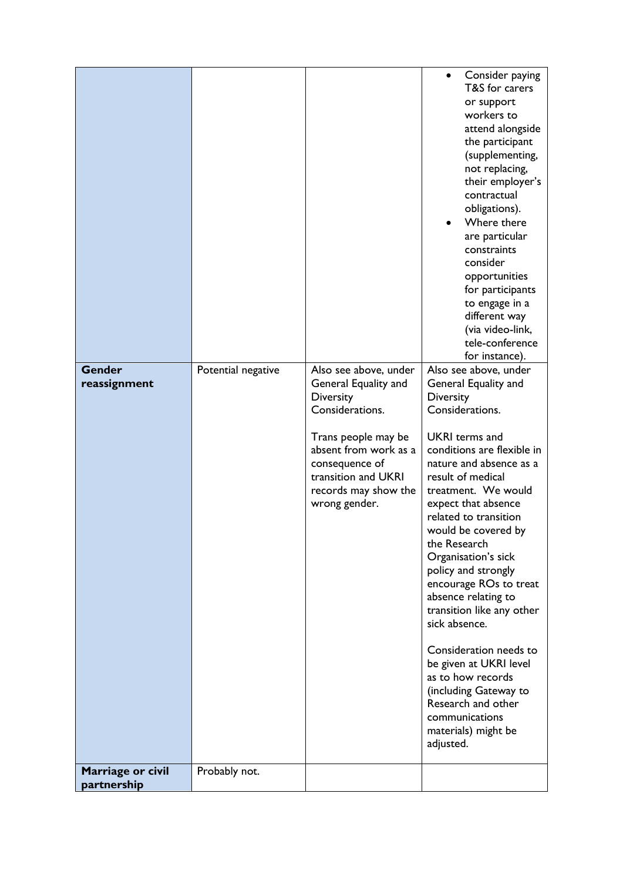| <b>Gender</b><br>reassignment | Potential negative | Also see above, under<br>General Equality and<br><b>Diversity</b><br>Considerations.                                           | Consider paying<br>T&S for carers<br>or support<br>workers to<br>attend alongside<br>the participant<br>(supplementing,<br>not replacing,<br>their employer's<br>contractual<br>obligations).<br>Where there<br>are particular<br>constraints<br>consider<br>opportunities<br>for participants<br>to engage in a<br>different way<br>(via video-link,<br>tele-conference<br>for instance).<br>Also see above, under<br>General Equality and<br>Diversity<br>Considerations. |
|-------------------------------|--------------------|--------------------------------------------------------------------------------------------------------------------------------|-----------------------------------------------------------------------------------------------------------------------------------------------------------------------------------------------------------------------------------------------------------------------------------------------------------------------------------------------------------------------------------------------------------------------------------------------------------------------------|
|                               |                    | Trans people may be<br>absent from work as a<br>consequence of<br>transition and UKRI<br>records may show the<br>wrong gender. | <b>UKRI</b> terms and<br>conditions are flexible in<br>nature and absence as a<br>result of medical<br>treatment. We would<br>expect that absence<br>related to transition<br>would be covered by<br>the Research<br>Organisation's sick<br>policy and strongly<br>encourage ROs to treat                                                                                                                                                                                   |
| Marriage or civil             | Probably not.      |                                                                                                                                | absence relating to<br>transition like any other<br>sick absence.<br>Consideration needs to<br>be given at UKRI level<br>as to how records<br>(including Gateway to<br>Research and other<br>communications<br>materials) might be<br>adjusted.                                                                                                                                                                                                                             |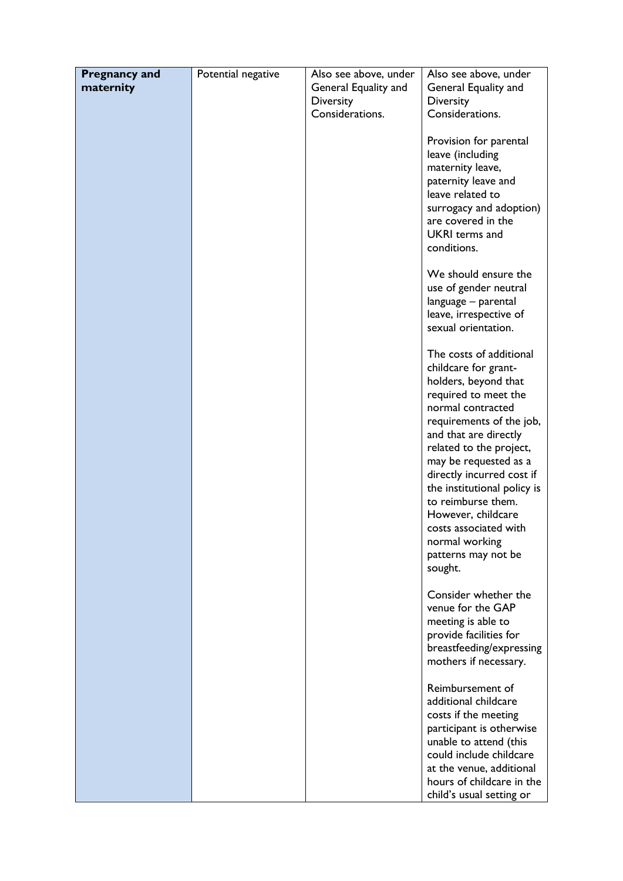| <b>Pregnancy and</b> | Potential negative | Also see above, under | Also see above, under       |
|----------------------|--------------------|-----------------------|-----------------------------|
| maternity            |                    | General Equality and  | General Equality and        |
|                      |                    | <b>Diversity</b>      | <b>Diversity</b>            |
|                      |                    | Considerations.       | Considerations.             |
|                      |                    |                       |                             |
|                      |                    |                       | Provision for parental      |
|                      |                    |                       | leave (including            |
|                      |                    |                       | maternity leave,            |
|                      |                    |                       | paternity leave and         |
|                      |                    |                       | leave related to            |
|                      |                    |                       | surrogacy and adoption)     |
|                      |                    |                       | are covered in the          |
|                      |                    |                       | <b>UKRI</b> terms and       |
|                      |                    |                       | conditions.                 |
|                      |                    |                       |                             |
|                      |                    |                       | We should ensure the        |
|                      |                    |                       | use of gender neutral       |
|                      |                    |                       | language - parental         |
|                      |                    |                       | leave, irrespective of      |
|                      |                    |                       | sexual orientation.         |
|                      |                    |                       |                             |
|                      |                    |                       | The costs of additional     |
|                      |                    |                       | childcare for grant-        |
|                      |                    |                       | holders, beyond that        |
|                      |                    |                       | required to meet the        |
|                      |                    |                       | normal contracted           |
|                      |                    |                       | requirements of the job,    |
|                      |                    |                       | and that are directly       |
|                      |                    |                       | related to the project,     |
|                      |                    |                       | may be requested as a       |
|                      |                    |                       | directly incurred cost if   |
|                      |                    |                       | the institutional policy is |
|                      |                    |                       | to reimburse them.          |
|                      |                    |                       | However, childcare          |
|                      |                    |                       | costs associated with       |
|                      |                    |                       | normal working              |
|                      |                    |                       | patterns may not be         |
|                      |                    |                       | sought.                     |
|                      |                    |                       | Consider whether the        |
|                      |                    |                       | venue for the GAP           |
|                      |                    |                       | meeting is able to          |
|                      |                    |                       | provide facilities for      |
|                      |                    |                       | breastfeeding/expressing    |
|                      |                    |                       | mothers if necessary.       |
|                      |                    |                       |                             |
|                      |                    |                       | Reimbursement of            |
|                      |                    |                       | additional childcare        |
|                      |                    |                       | costs if the meeting        |
|                      |                    |                       | participant is otherwise    |
|                      |                    |                       | unable to attend (this      |
|                      |                    |                       | could include childcare     |
|                      |                    |                       | at the venue, additional    |
|                      |                    |                       | hours of childcare in the   |
|                      |                    |                       | child's usual setting or    |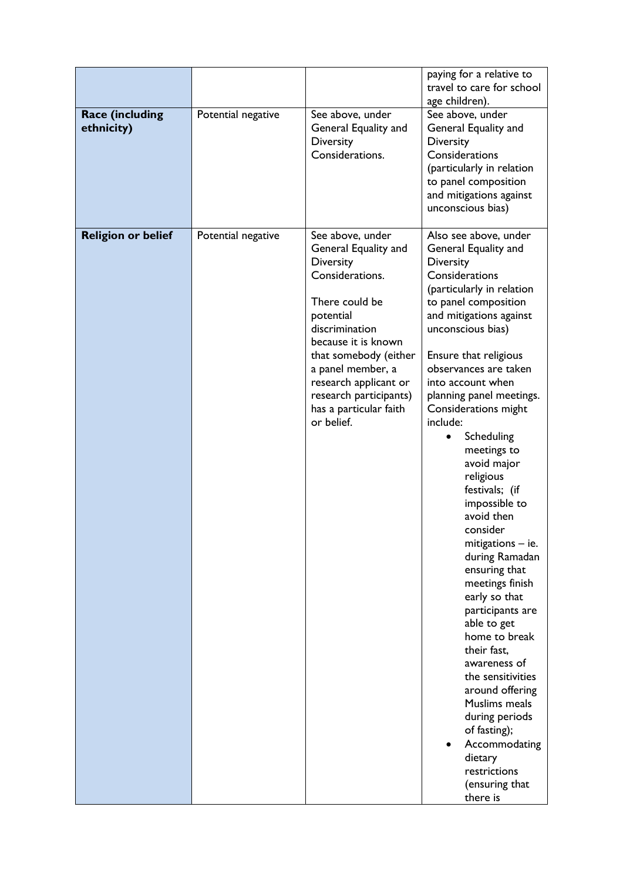|                                      |                    |                                                                                                                                                                                                                                                                                                  | paying for a relative to<br>travel to care for school<br>age children).                                                                                                                                                                                                                                                                                                                                                                                                                                                                                                                                                                                                                                                                                                                                   |
|--------------------------------------|--------------------|--------------------------------------------------------------------------------------------------------------------------------------------------------------------------------------------------------------------------------------------------------------------------------------------------|-----------------------------------------------------------------------------------------------------------------------------------------------------------------------------------------------------------------------------------------------------------------------------------------------------------------------------------------------------------------------------------------------------------------------------------------------------------------------------------------------------------------------------------------------------------------------------------------------------------------------------------------------------------------------------------------------------------------------------------------------------------------------------------------------------------|
| <b>Race (including</b><br>ethnicity) | Potential negative | See above, under<br>General Equality and<br><b>Diversity</b><br>Considerations.                                                                                                                                                                                                                  | See above, under<br>General Equality and<br><b>Diversity</b><br>Considerations<br>(particularly in relation<br>to panel composition<br>and mitigations against<br>unconscious bias)                                                                                                                                                                                                                                                                                                                                                                                                                                                                                                                                                                                                                       |
| <b>Religion or belief</b>            | Potential negative | See above, under<br>General Equality and<br><b>Diversity</b><br>Considerations.<br>There could be<br>potential<br>discrimination<br>because it is known<br>that somebody (either<br>a panel member, a<br>research applicant or<br>research participants)<br>has a particular faith<br>or belief. | Also see above, under<br>General Equality and<br><b>Diversity</b><br>Considerations<br>(particularly in relation<br>to panel composition<br>and mitigations against<br>unconscious bias)<br>Ensure that religious<br>observances are taken<br>into account when<br>planning panel meetings.<br>Considerations might<br>include:<br>Scheduling<br>meetings to<br>avoid major<br>religious<br>festivals; (if<br>impossible to<br>avoid then<br>consider<br>mitigations - ie.<br>during Ramadan<br>ensuring that<br>meetings finish<br>early so that<br>participants are<br>able to get<br>home to break<br>their fast,<br>awareness of<br>the sensitivities<br>around offering<br>Muslims meals<br>during periods<br>of fasting);<br>Accommodating<br>dietary<br>restrictions<br>(ensuring that<br>there is |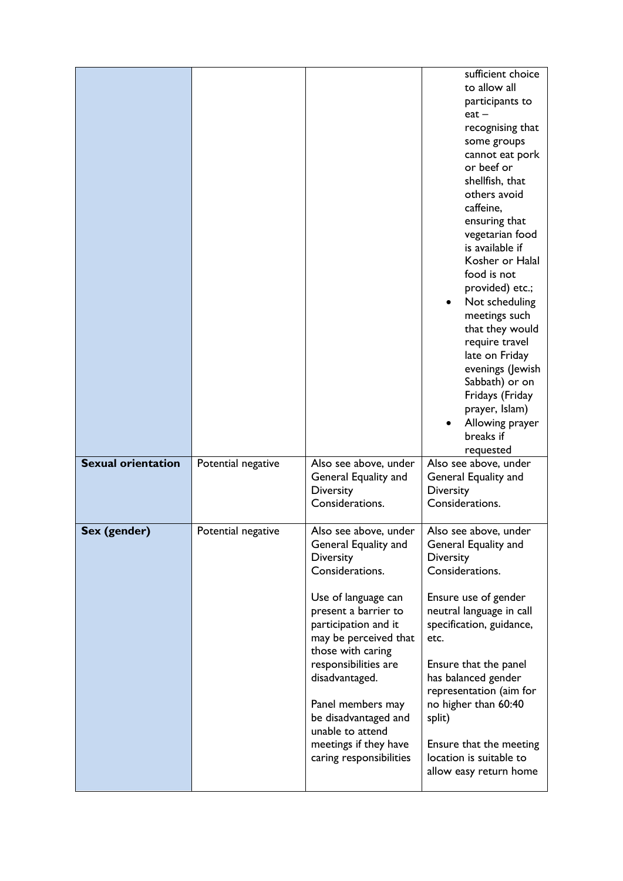|                           |                    |                                                                                                                                                                                                                                                                                                                                                                          | sufficient choice<br>to allow all<br>participants to<br>$eat -$<br>recognising that<br>some groups<br>cannot eat pork<br>or beef or<br>shellfish, that<br>others avoid<br>caffeine,<br>ensuring that<br>vegetarian food<br>is available if<br>Kosher or Halal<br>food is not<br>provided) etc.;<br>Not scheduling<br>٠<br>meetings such<br>that they would<br>require travel<br>late on Friday<br>evenings (Jewish<br>Sabbath) or on<br>Fridays (Friday<br>prayer, Islam)<br>Allowing prayer<br>breaks if<br>requested |
|---------------------------|--------------------|--------------------------------------------------------------------------------------------------------------------------------------------------------------------------------------------------------------------------------------------------------------------------------------------------------------------------------------------------------------------------|------------------------------------------------------------------------------------------------------------------------------------------------------------------------------------------------------------------------------------------------------------------------------------------------------------------------------------------------------------------------------------------------------------------------------------------------------------------------------------------------------------------------|
| <b>Sexual orientation</b> | Potential negative | Also see above, under<br>General Equality and<br><b>Diversity</b><br>Considerations.                                                                                                                                                                                                                                                                                     | Also see above, under<br>General Equality and<br>Diversity<br>Considerations.                                                                                                                                                                                                                                                                                                                                                                                                                                          |
| Sex (gender)              | Potential negative | Also see above, under<br>General Equality and<br><b>Diversity</b><br>Considerations.<br>Use of language can<br>present a barrier to<br>participation and it<br>may be perceived that<br>those with caring<br>responsibilities are<br>disadvantaged.<br>Panel members may<br>be disadvantaged and<br>unable to attend<br>meetings if they have<br>caring responsibilities | Also see above, under<br>General Equality and<br><b>Diversity</b><br>Considerations.<br>Ensure use of gender<br>neutral language in call<br>specification, guidance,<br>etc.<br>Ensure that the panel<br>has balanced gender<br>representation (aim for<br>no higher than 60:40<br>split)<br>Ensure that the meeting<br>location is suitable to<br>allow easy return home                                                                                                                                              |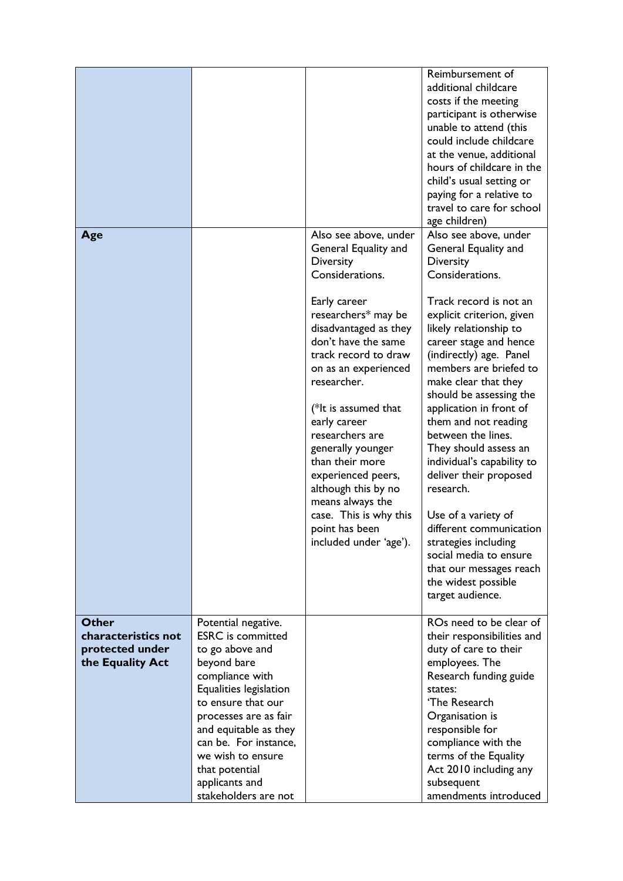| Age                                                                        |                                                                                                                                                                                                                                                                                                                  | Also see above, under<br>General Equality and<br>Diversity<br>Considerations.                                                                                                                                                                                                                                                                                                                | Reimbursement of<br>additional childcare<br>costs if the meeting<br>participant is otherwise<br>unable to attend (this<br>could include childcare<br>at the venue, additional<br>hours of childcare in the<br>child's usual setting or<br>paying for a relative to<br>travel to care for school<br>age children)<br>Also see above, under<br>General Equality and<br><b>Diversity</b><br>Considerations.                                                                                                                                                         |
|----------------------------------------------------------------------------|------------------------------------------------------------------------------------------------------------------------------------------------------------------------------------------------------------------------------------------------------------------------------------------------------------------|----------------------------------------------------------------------------------------------------------------------------------------------------------------------------------------------------------------------------------------------------------------------------------------------------------------------------------------------------------------------------------------------|------------------------------------------------------------------------------------------------------------------------------------------------------------------------------------------------------------------------------------------------------------------------------------------------------------------------------------------------------------------------------------------------------------------------------------------------------------------------------------------------------------------------------------------------------------------|
|                                                                            |                                                                                                                                                                                                                                                                                                                  | Early career<br>researchers* may be<br>disadvantaged as they<br>don't have the same<br>track record to draw<br>on as an experienced<br>researcher.<br>(*It is assumed that<br>early career<br>researchers are<br>generally younger<br>than their more<br>experienced peers,<br>although this by no<br>means always the<br>case. This is why this<br>point has been<br>included under 'age'). | Track record is not an<br>explicit criterion, given<br>likely relationship to<br>career stage and hence<br>(indirectly) age. Panel<br>members are briefed to<br>make clear that they<br>should be assessing the<br>application in front of<br>them and not reading<br>between the lines.<br>They should assess an<br>individual's capability to<br>deliver their proposed<br>research.<br>Use of a variety of<br>different communication<br>strategies including<br>social media to ensure<br>that our messages reach<br>the widest possible<br>target audience. |
| <b>Other</b><br>characteristics not<br>protected under<br>the Equality Act | Potential negative.<br><b>ESRC</b> is committed<br>to go above and<br>beyond bare<br>compliance with<br>Equalities legislation<br>to ensure that our<br>processes are as fair<br>and equitable as they<br>can be. For instance,<br>we wish to ensure<br>that potential<br>applicants and<br>stakeholders are not |                                                                                                                                                                                                                                                                                                                                                                                              | ROs need to be clear of<br>their responsibilities and<br>duty of care to their<br>employees. The<br>Research funding guide<br>states:<br>'The Research<br>Organisation is<br>responsible for<br>compliance with the<br>terms of the Equality<br>Act 2010 including any<br>subsequent<br>amendments introduced                                                                                                                                                                                                                                                    |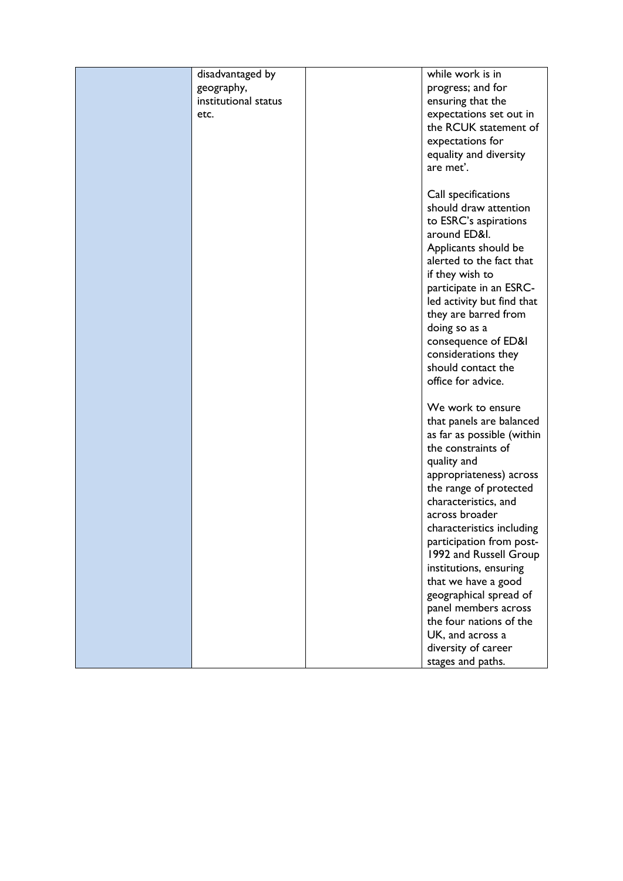| disadvantaged by     | while work is in                                 |
|----------------------|--------------------------------------------------|
| geography,           | progress; and for                                |
| institutional status | ensuring that the                                |
| etc.                 | expectations set out in                          |
|                      | the RCUK statement of                            |
|                      | expectations for                                 |
|                      | equality and diversity                           |
|                      | are met'.                                        |
|                      |                                                  |
|                      | Call specifications                              |
|                      | should draw attention                            |
|                      | to ESRC's aspirations                            |
|                      | around ED&I.                                     |
|                      | Applicants should be                             |
|                      | alerted to the fact that                         |
|                      | if they wish to                                  |
|                      | participate in an ESRC-                          |
|                      | led activity but find that                       |
|                      | they are barred from                             |
|                      | doing so as a                                    |
|                      | consequence of ED&I                              |
|                      | considerations they                              |
|                      | should contact the                               |
|                      | office for advice.                               |
|                      | We work to ensure                                |
|                      |                                                  |
|                      | that panels are balanced                         |
|                      | as far as possible (within<br>the constraints of |
|                      | quality and                                      |
|                      | appropriateness) across                          |
|                      | the range of protected                           |
|                      | characteristics, and                             |
|                      | across broader                                   |
|                      | characteristics including                        |
|                      | participation from post-                         |
|                      | 1992 and Russell Group                           |
|                      | institutions, ensuring                           |
|                      | that we have a good                              |
|                      | geographical spread of                           |
|                      | panel members across                             |
|                      | the four nations of the                          |
|                      | UK, and across a                                 |
|                      | diversity of career                              |
|                      | stages and paths.                                |